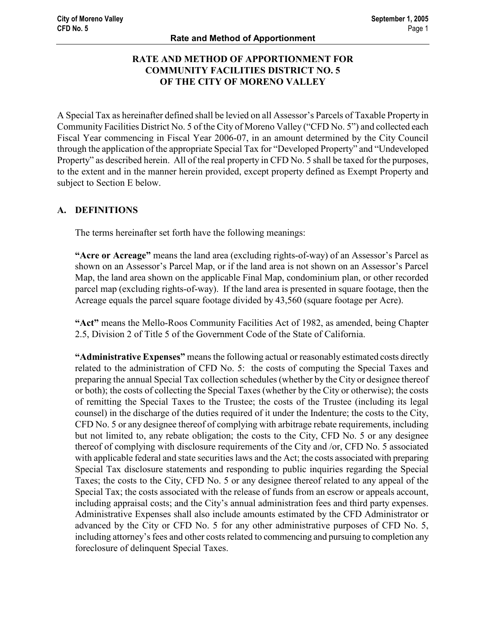## RATE AND METHOD OF APPORTIONMENT FOR COMMUNITY FACILITIES DISTRICT NO. 5 OF THE CITY OF MORENO VALLEY

A Special Tax as hereinafter defined shall be levied on all Assessor's Parcels of Taxable Property in Community Facilities District No. 5 of the City of Moreno Valley ("CFD No. 5") and collected each Fiscal Year commencing in Fiscal Year 2006-07, in an amount determined by the City Council through the application of the appropriate Special Tax for "Developed Property" and "Undeveloped Property" as described herein. All of the real property in CFD No. 5 shall be taxed for the purposes, to the extent and in the manner herein provided, except property defined as Exempt Property and subject to Section E below.

### A. DEFINITIONS

The terms hereinafter set forth have the following meanings:

"Acre or Acreage" means the land area (excluding rights-of-way) of an Assessor's Parcel as shown on an Assessor's Parcel Map, or if the land area is not shown on an Assessor's Parcel Map, the land area shown on the applicable Final Map, condominium plan, or other recorded parcel map (excluding rights-of-way). If the land area is presented in square footage, then the Acreage equals the parcel square footage divided by 43,560 (square footage per Acre).

"Act" means the Mello-Roos Community Facilities Act of 1982, as amended, being Chapter 2.5, Division 2 of Title 5 of the Government Code of the State of California.

"Administrative Expenses" means the following actual or reasonably estimated costs directly related to the administration of CFD No. 5: the costs of computing the Special Taxes and preparing the annual Special Tax collection schedules (whether by the City or designee thereof or both); the costs of collecting the Special Taxes (whether by the City or otherwise); the costs of remitting the Special Taxes to the Trustee; the costs of the Trustee (including its legal counsel) in the discharge of the duties required of it under the Indenture; the costs to the City, CFD No. 5 or any designee thereof of complying with arbitrage rebate requirements, including but not limited to, any rebate obligation; the costs to the City, CFD No. 5 or any designee thereof of complying with disclosure requirements of the City and /or, CFD No. 5 associated with applicable federal and state securities laws and the Act; the costs associated with preparing Special Tax disclosure statements and responding to public inquiries regarding the Special Taxes; the costs to the City, CFD No. 5 or any designee thereof related to any appeal of the Special Tax; the costs associated with the release of funds from an escrow or appeals account, including appraisal costs; and the City's annual administration fees and third party expenses. Administrative Expenses shall also include amounts estimated by the CFD Administrator or advanced by the City or CFD No. 5 for any other administrative purposes of CFD No. 5, including attorney's fees and other costs related to commencing and pursuing to completion any foreclosure of delinquent Special Taxes.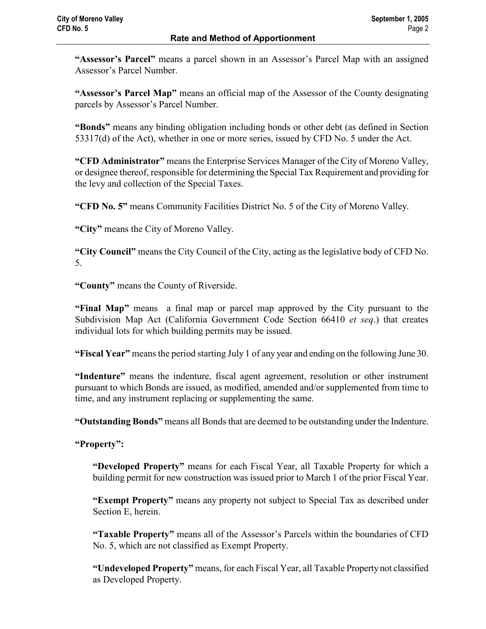"Assessor's Parcel" means a parcel shown in an Assessor's Parcel Map with an assigned Assessor's Parcel Number.

"Assessor's Parcel Map" means an official map of the Assessor of the County designating parcels by Assessor's Parcel Number.

"Bonds" means any binding obligation including bonds or other debt (as defined in Section 53317(d) of the Act), whether in one or more series, issued by CFD No. 5 under the Act.

"CFD Administrator" means the Enterprise Services Manager of the City of Moreno Valley, or designee thereof, responsible for determining the Special Tax Requirement and providing for the levy and collection of the Special Taxes.

"CFD No. 5" means Community Facilities District No. 5 of the City of Moreno Valley.

"City" means the City of Moreno Valley.

"City Council" means the City Council of the City, acting as the legislative body of CFD No. 5.

"County" means the County of Riverside.

"Final Map" means a final map or parcel map approved by the City pursuant to the Subdivision Map Act (California Government Code Section 66410 et seq.) that creates individual lots for which building permits may be issued.

"Fiscal Year" means the period starting July 1 of any year and ending on the following June 30.

"Indenture" means the indenture, fiscal agent agreement, resolution or other instrument pursuant to which Bonds are issued, as modified, amended and/or supplemented from time to time, and any instrument replacing or supplementing the same.

"Outstanding Bonds" means all Bonds that are deemed to be outstanding under the Indenture.

"Property":

"Developed Property" means for each Fiscal Year, all Taxable Property for which a building permit for new construction was issued prior to March 1 of the prior Fiscal Year.

"Exempt Property" means any property not subject to Special Tax as described under Section E, herein.

"Taxable Property" means all of the Assessor's Parcels within the boundaries of CFD No. 5, which are not classified as Exempt Property.

"Undeveloped Property" means, for each Fiscal Year, all Taxable Property not classified as Developed Property.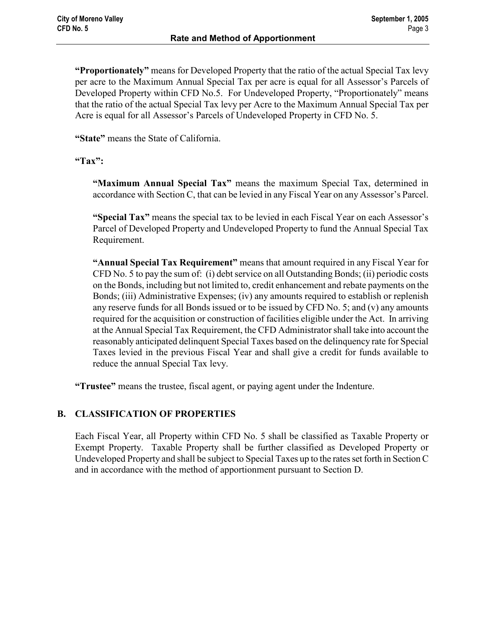"Proportionately" means for Developed Property that the ratio of the actual Special Tax levy per acre to the Maximum Annual Special Tax per acre is equal for all Assessor's Parcels of Developed Property within CFD No.5. For Undeveloped Property, "Proportionately" means that the ratio of the actual Special Tax levy per Acre to the Maximum Annual Special Tax per Acre is equal for all Assessor's Parcels of Undeveloped Property in CFD No. 5.

"State" means the State of California.

### "Tax":

"Maximum Annual Special Tax" means the maximum Special Tax, determined in accordance with Section C, that can be levied in any Fiscal Year on any Assessor's Parcel.

"Special Tax" means the special tax to be levied in each Fiscal Year on each Assessor's Parcel of Developed Property and Undeveloped Property to fund the Annual Special Tax Requirement.

"Annual Special Tax Requirement" means that amount required in any Fiscal Year for CFD No. 5 to pay the sum of: (i) debt service on all Outstanding Bonds; (ii) periodic costs on the Bonds, including but not limited to, credit enhancement and rebate payments on the Bonds; (iii) Administrative Expenses; (iv) any amounts required to establish or replenish any reserve funds for all Bonds issued or to be issued by CFD No. 5; and (v) any amounts required for the acquisition or construction of facilities eligible under the Act. In arriving at the Annual Special Tax Requirement, the CFD Administrator shall take into account the reasonably anticipated delinquent Special Taxes based on the delinquency rate for Special Taxes levied in the previous Fiscal Year and shall give a credit for funds available to reduce the annual Special Tax levy.

"Trustee" means the trustee, fiscal agent, or paying agent under the Indenture.

### B. CLASSIFICATION OF PROPERTIES

Each Fiscal Year, all Property within CFD No. 5 shall be classified as Taxable Property or Exempt Property. Taxable Property shall be further classified as Developed Property or Undeveloped Property and shall be subject to Special Taxes up to the rates set forth in Section C and in accordance with the method of apportionment pursuant to Section D.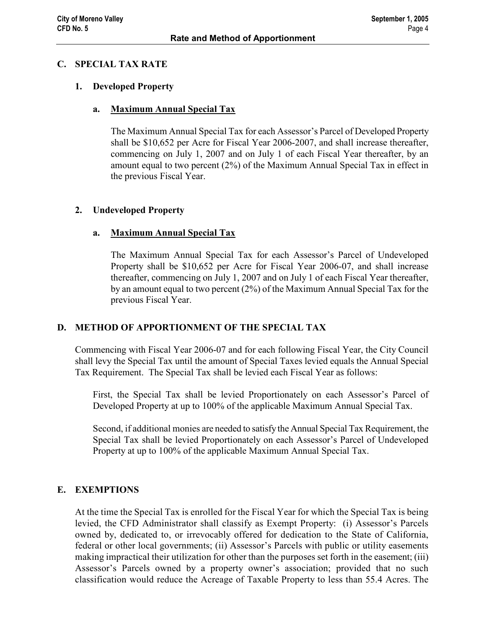#### C. SPECIAL TAX RATE

#### 1. Developed Property

#### a. Maximum Annual Special Tax

The Maximum Annual Special Tax for each Assessor's Parcel of Developed Property shall be \$10,652 per Acre for Fiscal Year 2006-2007, and shall increase thereafter, commencing on July 1, 2007 and on July 1 of each Fiscal Year thereafter, by an amount equal to two percent (2%) of the Maximum Annual Special Tax in effect in the previous Fiscal Year.

### 2. Undeveloped Property

#### a. Maximum Annual Special Tax

The Maximum Annual Special Tax for each Assessor's Parcel of Undeveloped Property shall be \$10,652 per Acre for Fiscal Year 2006-07, and shall increase thereafter, commencing on July 1, 2007 and on July 1 of each Fiscal Year thereafter, by an amount equal to two percent (2%) of the Maximum Annual Special Tax for the previous Fiscal Year.

### D. METHOD OF APPORTIONMENT OF THE SPECIAL TAX

Commencing with Fiscal Year 2006-07 and for each following Fiscal Year, the City Council shall levy the Special Tax until the amount of Special Taxes levied equals the Annual Special Tax Requirement. The Special Tax shall be levied each Fiscal Year as follows:

First, the Special Tax shall be levied Proportionately on each Assessor's Parcel of Developed Property at up to 100% of the applicable Maximum Annual Special Tax.

Second, if additional monies are needed to satisfy the Annual Special Tax Requirement, the Special Tax shall be levied Proportionately on each Assessor's Parcel of Undeveloped Property at up to 100% of the applicable Maximum Annual Special Tax.

### E. EXEMPTIONS

At the time the Special Tax is enrolled for the Fiscal Year for which the Special Tax is being levied, the CFD Administrator shall classify as Exempt Property: (i) Assessor's Parcels owned by, dedicated to, or irrevocably offered for dedication to the State of California, federal or other local governments; (ii) Assessor's Parcels with public or utility easements making impractical their utilization for other than the purposes set forth in the easement; (iii) Assessor's Parcels owned by a property owner's association; provided that no such classification would reduce the Acreage of Taxable Property to less than 55.4 Acres. The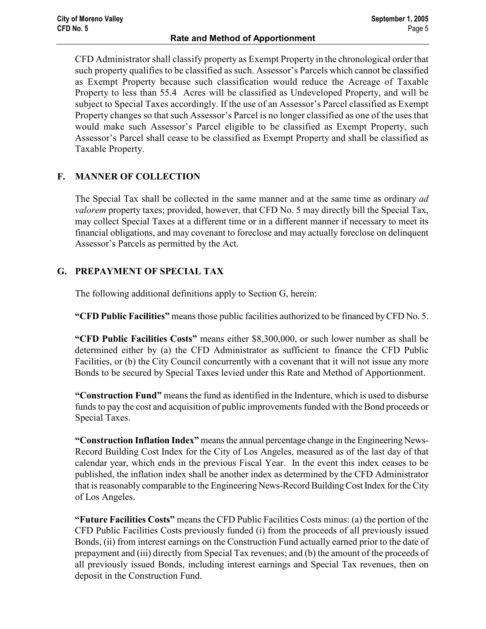CFD Administrator shall classify property as Exempt Property in the chronological order that such property qualifies to be classified as such. Assessor's Parcels which cannot be classified as Exempt Property because such classification would reduce the Acreage of Taxable Property to less than 55.4 Acres will be classified as Undeveloped Property, and will be subject to Special Taxes accordingly. If the use of an Assessor's Parcel classified as Exempt Property changes so that such Assessor's Parcel is no longer classified as one of the uses that would make such Assessor's Parcel eligible to be classified as Exempt Property, such Assessor's Parcel shall cease to be classified as Exempt Property and shall be classified as Taxable Property.

# F. MANNER OF COLLECTION

The Special Tax shall be collected in the same manner and at the same time as ordinary ad valorem property taxes; provided, however, that CFD No. 5 may directly bill the Special Tax, may collect Special Taxes at a different time or in a different manner if necessary to meet its financial obligations, and may covenant to foreclose and may actually foreclose on delinquent Assessor's Parcels as permitted by the Act.

# G. PREPAYMENT OF SPECIAL TAX

The following additional definitions apply to Section G, herein:

"CFD Public Facilities" means those public facilities authorized to be financed by CFD No. 5.

"CFD Public Facilities Costs" means either \$8,300,000, or such lower number as shall be determined either by (a) the CFD Administrator as sufficient to finance the CFD Public Facilities, or (b) the City Council concurrently with a covenant that it will not issue any more Bonds to be secured by Special Taxes levied under this Rate and Method of Apportionment.

"Construction Fund" means the fund as identified in the Indenture, which is used to disburse funds to pay the cost and acquisition of public improvements funded with the Bond proceeds or Special Taxes.

"Construction Inflation Index" means the annual percentage change in the Engineering News-Record Building Cost Index for the City of Los Angeles, measured as of the last day of that calendar year, which ends in the previous Fiscal Year. In the event this index ceases to be published, the inflation index shall be another index as determined by the CFD Administrator that is reasonably comparable to the Engineering News-Record Building Cost Index for the City of Los Angeles.

"Future Facilities Costs" means the CFD Public Facilities Costs minus: (a) the portion of the CFD Public Facilities Costs previously funded (i) from the proceeds of all previously issued Bonds, (ii) from interest earnings on the Construction Fund actually earned prior to the date of prepayment and (iii) directly from Special Tax revenues; and (b) the amount of the proceeds of all previously issued Bonds, including interest earnings and Special Tax revenues, then on deposit in the Construction Fund.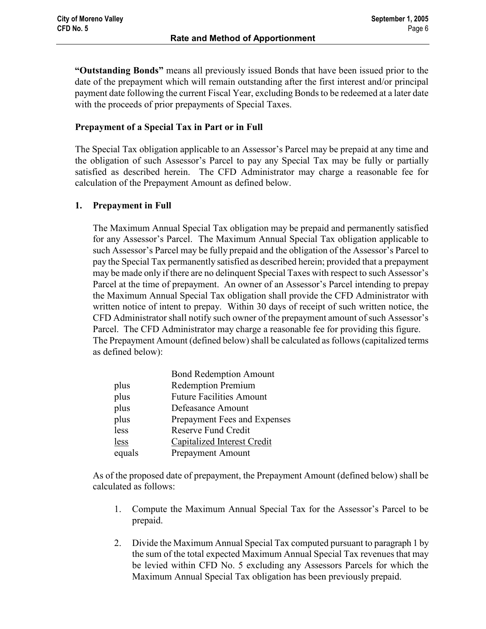"Outstanding Bonds" means all previously issued Bonds that have been issued prior to the date of the prepayment which will remain outstanding after the first interest and/or principal payment date following the current Fiscal Year, excluding Bonds to be redeemed at a later date with the proceeds of prior prepayments of Special Taxes.

### Prepayment of a Special Tax in Part or in Full

The Special Tax obligation applicable to an Assessor's Parcel may be prepaid at any time and the obligation of such Assessor's Parcel to pay any Special Tax may be fully or partially satisfied as described herein. The CFD Administrator may charge a reasonable fee for calculation of the Prepayment Amount as defined below.

### 1. Prepayment in Full

The Maximum Annual Special Tax obligation may be prepaid and permanently satisfied for any Assessor's Parcel. The Maximum Annual Special Tax obligation applicable to such Assessor's Parcel may be fully prepaid and the obligation of the Assessor's Parcel to pay the Special Tax permanently satisfied as described herein; provided that a prepayment may be made only if there are no delinquent Special Taxes with respect to such Assessor's Parcel at the time of prepayment. An owner of an Assessor's Parcel intending to prepay the Maximum Annual Special Tax obligation shall provide the CFD Administrator with written notice of intent to prepay. Within 30 days of receipt of such written notice, the CFD Administrator shall notify such owner of the prepayment amount of such Assessor's Parcel. The CFD Administrator may charge a reasonable fee for providing this figure. The Prepayment Amount (defined below) shall be calculated as follows (capitalized terms as defined below):

|        | <b>Bond Redemption Amount</b>   |
|--------|---------------------------------|
| plus   | <b>Redemption Premium</b>       |
| plus   | <b>Future Facilities Amount</b> |
| plus   | Defeasance Amount               |
| plus   | Prepayment Fees and Expenses    |
| less   | Reserve Fund Credit             |
| less   | Capitalized Interest Credit     |
| equals | <b>Prepayment Amount</b>        |
|        |                                 |

As of the proposed date of prepayment, the Prepayment Amount (defined below) shall be calculated as follows:

- 1. Compute the Maximum Annual Special Tax for the Assessor's Parcel to be prepaid.
- 2. Divide the Maximum Annual Special Tax computed pursuant to paragraph 1 by the sum of the total expected Maximum Annual Special Tax revenues that may be levied within CFD No. 5 excluding any Assessors Parcels for which the Maximum Annual Special Tax obligation has been previously prepaid.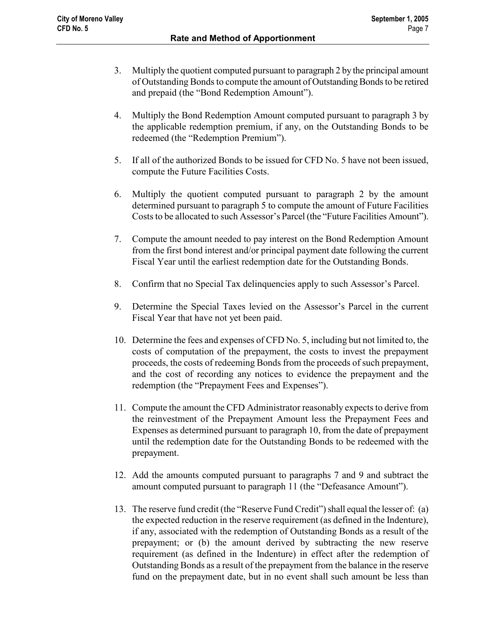- 3. Multiply the quotient computed pursuant to paragraph 2 by the principal amount of Outstanding Bonds to compute the amount of Outstanding Bonds to be retired and prepaid (the "Bond Redemption Amount").
- 4. Multiply the Bond Redemption Amount computed pursuant to paragraph 3 by the applicable redemption premium, if any, on the Outstanding Bonds to be redeemed (the "Redemption Premium").
- 5. If all of the authorized Bonds to be issued for CFD No. 5 have not been issued, compute the Future Facilities Costs.
- 6. Multiply the quotient computed pursuant to paragraph 2 by the amount determined pursuant to paragraph 5 to compute the amount of Future Facilities Costs to be allocated to such Assessor's Parcel (the "Future Facilities Amount").
- 7. Compute the amount needed to pay interest on the Bond Redemption Amount from the first bond interest and/or principal payment date following the current Fiscal Year until the earliest redemption date for the Outstanding Bonds.
- 8. Confirm that no Special Tax delinquencies apply to such Assessor's Parcel.
- 9. Determine the Special Taxes levied on the Assessor's Parcel in the current Fiscal Year that have not yet been paid.
- 10. Determine the fees and expenses of CFD No. 5, including but not limited to, the costs of computation of the prepayment, the costs to invest the prepayment proceeds, the costs of redeeming Bonds from the proceeds of such prepayment, and the cost of recording any notices to evidence the prepayment and the redemption (the "Prepayment Fees and Expenses").
- 11. Compute the amount the CFD Administrator reasonably expects to derive from the reinvestment of the Prepayment Amount less the Prepayment Fees and Expenses as determined pursuant to paragraph 10, from the date of prepayment until the redemption date for the Outstanding Bonds to be redeemed with the prepayment.
- 12. Add the amounts computed pursuant to paragraphs 7 and 9 and subtract the amount computed pursuant to paragraph 11 (the "Defeasance Amount").
- 13. The reserve fund credit (the "Reserve Fund Credit") shall equal the lesser of: (a) the expected reduction in the reserve requirement (as defined in the Indenture), if any, associated with the redemption of Outstanding Bonds as a result of the prepayment; or (b) the amount derived by subtracting the new reserve requirement (as defined in the Indenture) in effect after the redemption of Outstanding Bonds as a result of the prepayment from the balance in the reserve fund on the prepayment date, but in no event shall such amount be less than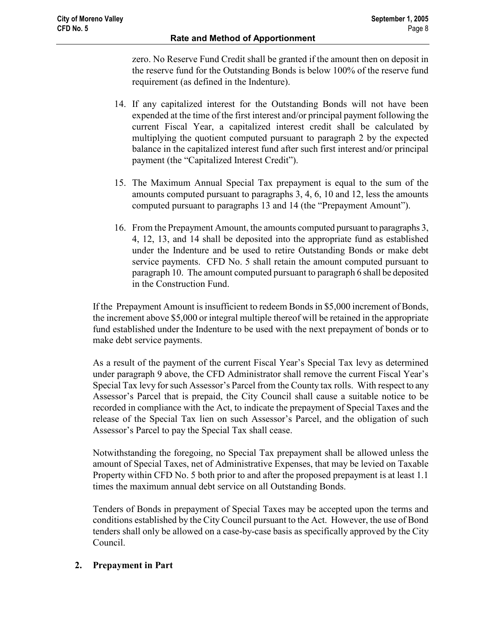zero. No Reserve Fund Credit shall be granted if the amount then on deposit in the reserve fund for the Outstanding Bonds is below 100% of the reserve fund requirement (as defined in the Indenture).

- 14. If any capitalized interest for the Outstanding Bonds will not have been expended at the time of the first interest and/or principal payment following the current Fiscal Year, a capitalized interest credit shall be calculated by multiplying the quotient computed pursuant to paragraph 2 by the expected balance in the capitalized interest fund after such first interest and/or principal payment (the "Capitalized Interest Credit").
- 15. The Maximum Annual Special Tax prepayment is equal to the sum of the amounts computed pursuant to paragraphs 3, 4, 6, 10 and 12, less the amounts computed pursuant to paragraphs 13 and 14 (the "Prepayment Amount").
- 16. From the Prepayment Amount, the amounts computed pursuant to paragraphs 3, 4, 12, 13, and 14 shall be deposited into the appropriate fund as established under the Indenture and be used to retire Outstanding Bonds or make debt service payments. CFD No. 5 shall retain the amount computed pursuant to paragraph 10. The amount computed pursuant to paragraph 6 shall be deposited in the Construction Fund.

If the Prepayment Amount is insufficient to redeem Bonds in \$5,000 increment of Bonds, the increment above \$5,000 or integral multiple thereof will be retained in the appropriate fund established under the Indenture to be used with the next prepayment of bonds or to make debt service payments.

As a result of the payment of the current Fiscal Year's Special Tax levy as determined under paragraph 9 above, the CFD Administrator shall remove the current Fiscal Year's Special Tax levy for such Assessor's Parcel from the County tax rolls. With respect to any Assessor's Parcel that is prepaid, the City Council shall cause a suitable notice to be recorded in compliance with the Act, to indicate the prepayment of Special Taxes and the release of the Special Tax lien on such Assessor's Parcel, and the obligation of such Assessor's Parcel to pay the Special Tax shall cease.

Notwithstanding the foregoing, no Special Tax prepayment shall be allowed unless the amount of Special Taxes, net of Administrative Expenses, that may be levied on Taxable Property within CFD No. 5 both prior to and after the proposed prepayment is at least 1.1 times the maximum annual debt service on all Outstanding Bonds.

Tenders of Bonds in prepayment of Special Taxes may be accepted upon the terms and conditions established by the City Council pursuant to the Act. However, the use of Bond tenders shall only be allowed on a case-by-case basis as specifically approved by the City Council.

### 2. Prepayment in Part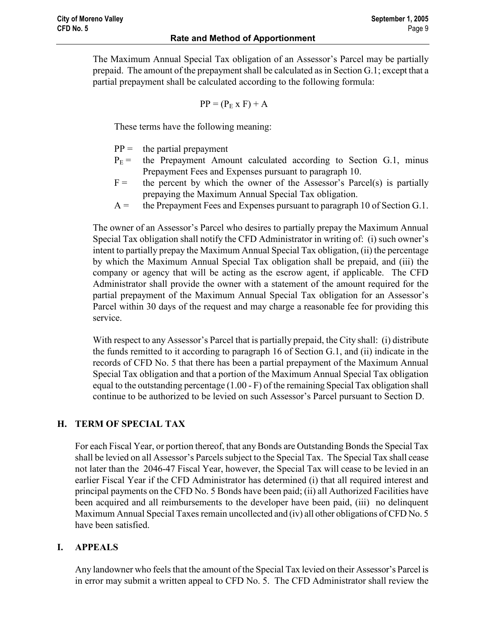The Maximum Annual Special Tax obligation of an Assessor's Parcel may be partially prepaid. The amount of the prepayment shall be calculated as in Section G.1; except that a partial prepayment shall be calculated according to the following formula:

$$
PP = (PE x F) + A
$$

These terms have the following meaning:

- $PP =$  the partial prepayment
- $P_E$  = the Prepayment Amount calculated according to Section G.1, minus Prepayment Fees and Expenses pursuant to paragraph 10.
- $F =$  the percent by which the owner of the Assessor's Parcel(s) is partially prepaying the Maximum Annual Special Tax obligation.
- $A =$  the Prepayment Fees and Expenses pursuant to paragraph 10 of Section G.1.

The owner of an Assessor's Parcel who desires to partially prepay the Maximum Annual Special Tax obligation shall notify the CFD Administrator in writing of: (i) such owner's intent to partially prepay the Maximum Annual Special Tax obligation, (ii) the percentage by which the Maximum Annual Special Tax obligation shall be prepaid, and (iii) the company or agency that will be acting as the escrow agent, if applicable. The CFD Administrator shall provide the owner with a statement of the amount required for the partial prepayment of the Maximum Annual Special Tax obligation for an Assessor's Parcel within 30 days of the request and may charge a reasonable fee for providing this service.

With respect to any Assessor's Parcel that is partially prepaid, the City shall: (i) distribute the funds remitted to it according to paragraph 16 of Section G.1, and (ii) indicate in the records of CFD No. 5 that there has been a partial prepayment of the Maximum Annual Special Tax obligation and that a portion of the Maximum Annual Special Tax obligation equal to the outstanding percentage (1.00 - F) of the remaining Special Tax obligation shall continue to be authorized to be levied on such Assessor's Parcel pursuant to Section D.

# H. TERM OF SPECIAL TAX

For each Fiscal Year, or portion thereof, that any Bonds are Outstanding Bonds the Special Tax shall be levied on all Assessor's Parcels subject to the Special Tax. The Special Tax shall cease not later than the 2046-47 Fiscal Year, however, the Special Tax will cease to be levied in an earlier Fiscal Year if the CFD Administrator has determined (i) that all required interest and principal payments on the CFD No. 5 Bonds have been paid; (ii) all Authorized Facilities have been acquired and all reimbursements to the developer have been paid, (iii) no delinquent Maximum Annual Special Taxes remain uncollected and (iv) all other obligations of CFD No. 5 have been satisfied.

# I. APPEALS

Any landowner who feels that the amount of the Special Tax levied on their Assessor's Parcel is in error may submit a written appeal to CFD No. 5. The CFD Administrator shall review the